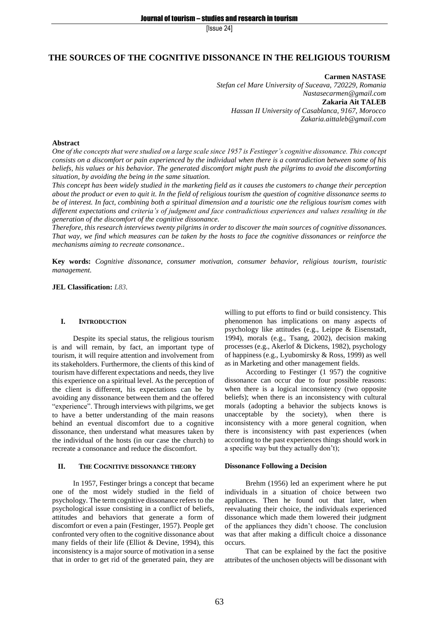# **THE SOURCES OF THE COGNITIVE DISSONANCE IN THE RELIGIOUS TOURISM**

**Carmen NASTASE** *Stefan cel Mare University of Suceava, 720229, Romania Nastasecarmen@gmail.com* **Zakaria Ait TALEB** *Hassan II University of Casablanca, 9167, Morocco Zakaria.aittaleb@gmail.com*

## **Abstract**

*One of the concepts that were studied on a large scale since 1957 is Festinger's cognitive dissonance. This concept consists on a discomfort or pain experienced by the individual when there is a contradiction between some of his beliefs, his values or his behavior. The generated discomfort might push the pilgrims to avoid the discomforting situation, by avoiding the being in the same situation.*

*This concept has been widely studied in the marketing field as it causes the customers to change their perception about the product or even to quit it. In the field of religious tourism the question of cognitive dissonance seems to be of interest. In fact, combining both a spiritual dimension and a touristic one the religious tourism comes with different expectations and criteria's of judgment and face contradictious experiences and values resulting in the generation of the discomfort of the cognitive dissonance.* 

*Therefore, this research interviews twenty pilgrims in order to discover the main sources of cognitive dissonances. That way, we find which measures can be taken by the hosts to face the cognitive dissonances or reinforce the mechanisms aiming to recreate consonance..*

**Key words:** *Cognitive dissonance, consumer motivation, consumer behavior, religious tourism, touristic management.*

**JEL Classification:** *L83.*

### **I. INTRODUCTION**

Despite its special status, the religious tourism is and will remain, by fact, an important type of tourism, it will require attention and involvement from its stakeholders. Furthermore, the clients of this kind of tourism have different expectations and needs, they live this experience on a spiritual level. As the perception of the client is different, his expectations can be by avoiding any dissonance between them and the offered "experience". Through interviews with pilgrims, we get to have a better understanding of the main reasons behind an eventual discomfort due to a cognitive dissonance, then understand what measures taken by the individual of the hosts (in our case the church) to recreate a consonance and reduce the discomfort.

### **II. THE COGNITIVE DISSONANCE THEORY**

In 1957, Festinger brings a concept that became one of the most widely studied in the field of psychology. The term cognitive dissonance refers to the psychological issue consisting in a conflict of beliefs, attitudes and behaviors that generate a form of discomfort or even a pain (Festinger, 1957). People get confronted very often to the cognitive dissonance about many fields of their life (Elliot & Devine, 1994), this inconsistency is a major source of motivation in a sense that in order to get rid of the generated pain, they are willing to put efforts to find or build consistency. This phenomenon has implications on many aspects of psychology like attitudes (e.g., Leippe & Eisenstadt, 1994), morals (e.g., Tsang, 2002), decision making processes (e.g., Akerlof & Dickens, 1982), psychology of happiness (e.g., Lyubomirsky & Ross, 1999) as well as in Marketing and other management fields.

According to Festinger (1 957) the cognitive dissonance can occur due to four possible reasons: when there is a logical inconsistency (two opposite beliefs); when there is an inconsistency with cultural morals (adopting a behavior the subjects knows is unacceptable by the society), when there is inconsistency with a more general cognition, when there is inconsistency with past experiences (when according to the past experiences things should work in a specific way but they actually don't);

#### **Dissonance Following a Decision**

Brehm (1956) led an experiment where he put individuals in a situation of choice between two appliances. Then he found out that later, when reevaluating their choice, the individuals experienced dissonance which made them lowered their judgment of the appliances they didn't choose. The conclusion was that after making a difficult choice a dissonance occurs.

That can be explained by the fact the positive attributes of the unchosen objects will be dissonant with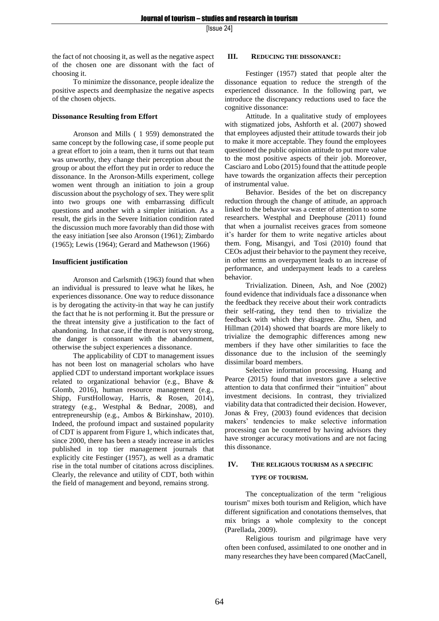the fact of not choosing it, as well as the negative aspect of the chosen one are dissonant with the fact of choosing it.

To minimize the dissonance, people idealize the positive aspects and deemphasize the negative aspects of the chosen objects.

## **Dissonance Resulting from Effort**

Aronson and Mills ( 1 959) demonstrated the same concept by the following case, if some people put a great effort to join a team, then it turns out that team was unworthy, they change their perception about the group or about the effort they put in order to reduce the dissonance. In the Aronson-Mills experiment, college women went through an initiation to join a group discussion about the psychology of sex. They were split into two groups one with embarrassing difficult questions and another with a simpler initiation. As a result, the girls in the Severe Initiation condition rated the discussion much more favorably than did those with the easy initiation [see also Aronson (1961); Zimbardo (1965); Lewis (1964); Gerard and Mathewson (1966)

### **Insufficient justification**

Aronson and Carlsmith (1963) found that when an individual is pressured to leave what he likes, he experiences dissonance. One way to reduce dissonance is by derogating the activity-in that way he can justify the fact that he is not performing it. But the pressure or the threat intensity give a justification to the fact of abandoning. In that case, if the threat is not very strong, the danger is consonant with the abandonment, otherwise the subject experiences a dissonance.

The applicability of CDT to management issues has not been lost on managerial scholars who have applied CDT to understand important workplace issues related to organizational behavior (e.g., Bhave & Glomb, 2016), human resource management (e.g., Shipp, FurstHolloway, Harris, & Rosen, 2014), strategy (e.g., Westphal & Bednar, 2008), and entrepreneurship (e.g., Ambos & Birkinshaw, 2010). Indeed, the profound impact and sustained popularity of CDT is apparent from Figure 1, which indicates that, since 2000, there has been a steady increase in articles published in top tier management journals that explicitly cite Festinger (1957), as well as a dramatic rise in the total number of citations across disciplines. Clearly, the relevance and utility of CDT, both within the field of management and beyond, remains strong.

### **III. REDUCING THE DISSONANCE:**

Festinger (1957) stated that people alter the dissonance equation to reduce the strength of the experienced dissonance. In the following part, we introduce the discrepancy reductions used to face the cognitive dissonance:

Attitude. In a qualitative study of employees with stigmatized jobs, Ashforth et al. (2007) showed that employees adjusted their attitude towards their job to make it more acceptable. They found the employees questioned the public opinion attitude to put more value to the most positive aspects of their job. Moreover, Casciaro and Lobo (2015) found that the attitude people have towards the organization affects their perception of instrumental value.

Behavior. Besides of the bet on discrepancy reduction through the change of attitude, an approach linked to the behavior was a center of attention to some researchers. Westphal and Deephouse (2011) found that when a journalist receives graces from someone it's harder for them to write negative articles about them. Fong, Misangyi, and Tosi (2010) found that CEOs adjust their behavior to the payment they receive, in other terms an overpayment leads to an increase of performance, and underpayment leads to a careless behavior.

Trivialization. Dineen, Ash, and Noe (2002) found evidence that individuals face a dissonance when the feedback they receive about their work contradicts their self-rating, they tend then to trivialize the feedback with which they disagree. Zhu, Shen, and Hillman (2014) showed that boards are more likely to trivialize the demographic differences among new members if they have other similarities to face the dissonance due to the inclusion of the seemingly dissimilar board members.

Selective information processing. Huang and Pearce (2015) found that investors gave a selective attention to data that confirmed their "intuition" about investment decisions. In contrast, they trivialized viability data that contradicted their decision. However, Jonas & Frey, (2003) found evidences that decision makers' tendencies to make selective information processing can be countered by having advisors they have stronger accuracy motivations and are not facing this dissonance.

# **IV. THE RELIGIOUS TOURISM AS A SPECIFIC**

#### **TYPE OF TOURISM.**

The conceptualization of the term "religious tourism" mixes both tourism and Religion, which have different signification and conotations themselves, that mix brings a whole complexity to the concept (Parellada, 2009).

Religious tourism and pilgrimage have very often been confused, assimilated to one onother and in many researches they have been compared (MacCanell,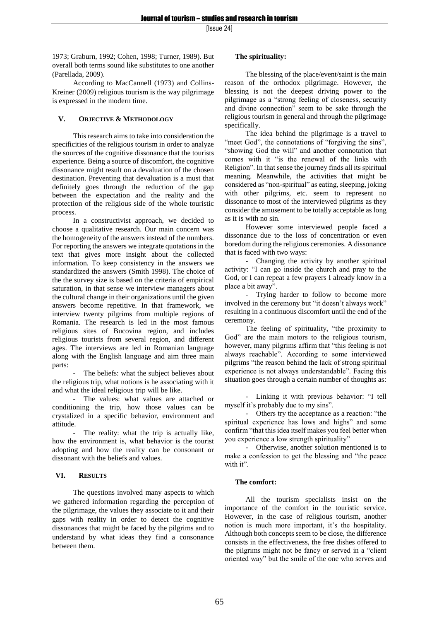1973; Graburn, 1992; Cohen, 1998; Turner, 1989). But overall both terms sound like substitutes to one another (Parellada, 2009).

According to MacCannell (1973) and Collins-Kreiner (2009) religious tourism is the way pilgrimage is expressed in the modern time.

# **V. OBJECTIVE & METHODOLOGY**

This research aims to take into consideration the specificities of the religious tourism in order to analyze the sources of the cognitive dissonance that the tourists experience. Being a source of discomfort, the cognitive dissonance might result on a devaluation of the chosen destination. Preventing that devaluation is a must that definitely goes through the reduction of the gap between the expectation and the reality and the protection of the religious side of the whole touristic process.

In a constructivist approach, we decided to choose a qualitative research. Our main concern was the homogeneity of the answers instead of the numbers. For reporting the answers we integrate quotations in the text that gives more insight about the collected information. To keep consistency in the answers we standardized the answers (Smith 1998). The choice of the the survey size is based on the criteria of empirical saturation, in that sense we interview managers about the cultural change in their organizations until the given answers become repetitive. In that framework, we interview twenty pilgrims from multiple regions of Romania. The research is led in the most famous religious sites of Bucovina region, and includes religious tourists from several region, and different ages. The interviews are led in Romanian language along with the English language and aim three main parts:

- The beliefs: what the subject believes about the religious trip, what notions is he associating with it and what the ideal religious trip will be like.

- The values: what values are attached or conditioning the trip, how those values can be crystalized in a specific behavior, environment and attitude.

The reality: what the trip is actually like, how the environment is, what behavior is the tourist adopting and how the reality can be consonant or dissonant with the beliefs and values.

# **VI. RESULTS**

The questions involved many aspects to which we gathered information regarding the perception of the pilgrimage, the values they associate to it and their gaps with reality in order to detect the cognitive dissonances that might be faced by the pilgrims and to understand by what ideas they find a consonance between them.

# **The spirituality:**

The blessing of the place/event/saint is the main reason of the orthodox pilgrimage. However, the blessing is not the deepest driving power to the pilgrimage as a "strong feeling of closeness, security and divine connection" seem to be sake through the religious tourism in general and through the pilgrimage specifically.

The idea behind the pilgrimage is a travel to "meet God", the connotations of "forgiving the sins", "showing God the will" and another connotation that comes with it "is the renewal of the links with Religion". In that sense the journey finds all its spiritual meaning. Meanwhile, the activities that might be considered as "non-spiritual" as eating, sleeping, joking with other pilgrims, etc. seem to represent no dissonance to most of the interviewed pilgrims as they consider the amusement to be totally acceptable as long as it is with no sin.

However some interviewed people faced a dissonance due to the loss of concentration or even boredom during the religious ceremonies. A dissonance that is faced with two ways:

- Changing the activity by another spiritual activity: "I can go inside the church and pray to the God, or I can repeat a few prayers I already know in a place a bit away".

Trying harder to follow to become more involved in the ceremony but "it doesn't always work" resulting in a continuous discomfort until the end of the ceremony.

The feeling of spirituality, "the proximity to God" are the main motors to the religious tourism, however, many pilgrims affirm that "this feeling is not always reachable". According to some interviewed pilgrims "the reason behind the lack of strong spiritual experience is not always understandable". Facing this situation goes through a certain number of thoughts as:

- Linking it with previous behavior: "I tell myself it's probably due to my sins".

- Others try the acceptance as a reaction: "the spiritual experience has lows and highs" and some confirm "that this idea itself makes you feel better when you experience a low strength spirituality"

- Otherwise, another solution mentioned is to make a confession to get the blessing and "the peace with it".

# **The comfort:**

All the tourism specialists insist on the importance of the comfort in the touristic service. However, in the case of religious tourism, another notion is much more important, it's the hospitality. Although both concepts seem to be close, the difference consists in the effectiveness, the free dishes offered to the pilgrims might not be fancy or served in a "client oriented way" but the smile of the one who serves and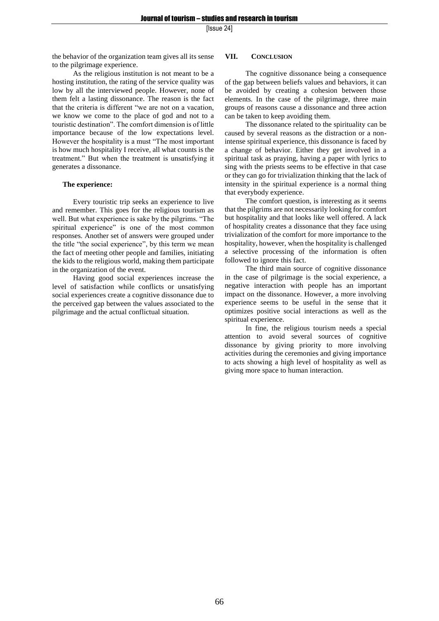the behavior of the organization team gives all its sense to the pilgrimage experience.

As the religious institution is not meant to be a hosting institution, the rating of the service quality was low by all the interviewed people. However, none of them felt a lasting dissonance. The reason is the fact that the criteria is different "we are not on a vacation, we know we come to the place of god and not to a touristic destination". The comfort dimension is of little importance because of the low expectations level. However the hospitality is a must "The most important is how much hospitality I receive, all what counts is the treatment." But when the treatment is unsatisfying it generates a dissonance.

### **The experience:**

Every touristic trip seeks an experience to live and remember. This goes for the religious tourism as well. But what experience is sake by the pilgrims. "The spiritual experience" is one of the most common responses. Another set of answers were grouped under the title "the social experience", by this term we mean the fact of meeting other people and families, initiating the kids to the religious world, making them participate in the organization of the event.

Having good social experiences increase the level of satisfaction while conflicts or unsatisfying social experiences create a cognitive dissonance due to the perceived gap between the values associated to the pilgrimage and the actual conflictual situation.

# **VII. CONCLUSION**

The cognitive dissonance being a consequence of the gap between beliefs values and behaviors, it can be avoided by creating a cohesion between those elements. In the case of the pilgrimage, three main groups of reasons cause a dissonance and three action can be taken to keep avoiding them.

The dissonance related to the spirituality can be caused by several reasons as the distraction or a nonintense spiritual experience, this dissonance is faced by a change of behavior. Either they get involved in a spiritual task as praying, having a paper with lyrics to sing with the priests seems to be effective in that case or they can go for trivialization thinking that the lack of intensity in the spiritual experience is a normal thing that everybody experience.

The comfort question, is interesting as it seems that the pilgrims are not necessarily looking for comfort but hospitality and that looks like well offered. A lack of hospitality creates a dissonance that they face using trivialization of the comfort for more importance to the hospitality, however, when the hospitality is challenged a selective processing of the information is often followed to ignore this fact.

The third main source of cognitive dissonance in the case of pilgrimage is the social experience, a negative interaction with people has an important impact on the dissonance. However, a more involving experience seems to be useful in the sense that it optimizes positive social interactions as well as the spiritual experience.

In fine, the religious tourism needs a special attention to avoid several sources of cognitive dissonance by giving priority to more involving activities during the ceremonies and giving importance to acts showing a high level of hospitality as well as giving more space to human interaction.